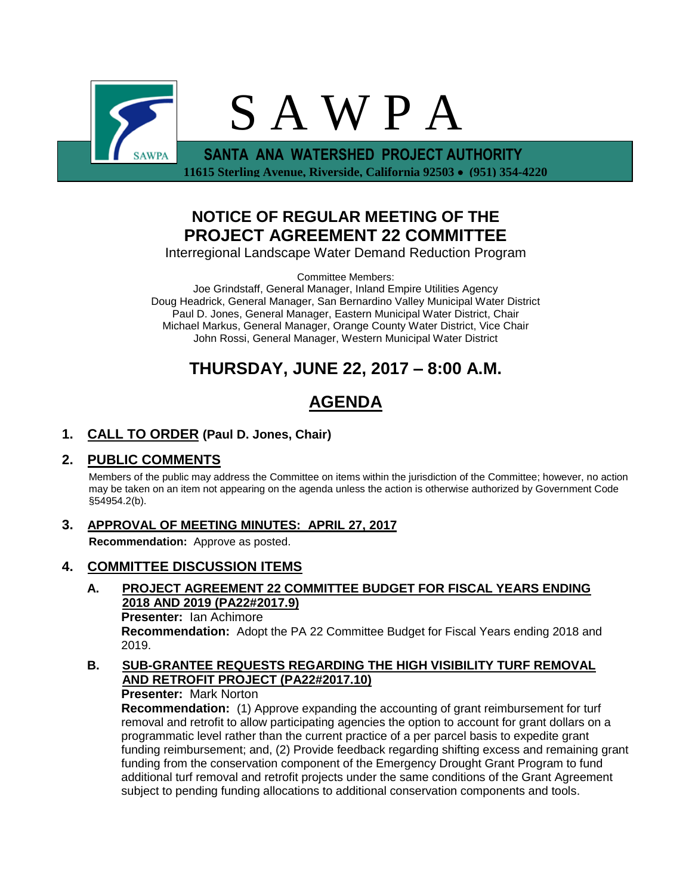

 **11615 Sterling Avenue, Riverside, California 92503 (951) 354-4220**

# **NOTICE OF REGULAR MEETING OF THE PROJECT AGREEMENT 22 COMMITTEE**

Interregional Landscape Water Demand Reduction Program

Committee Members:

Joe Grindstaff, General Manager, Inland Empire Utilities Agency Doug Headrick, General Manager, San Bernardino Valley Municipal Water District Paul D. Jones, General Manager, Eastern Municipal Water District, Chair Michael Markus, General Manager, Orange County Water District, Vice Chair John Rossi, General Manager, Western Municipal Water District

# **THURSDAY, JUNE 22, 2017 – 8:00 A.M.**

# **AGENDA**

## **1. CALL TO ORDER (Paul D. Jones, Chair)**

## **2. PUBLIC COMMENTS**

Members of the public may address the Committee on items within the jurisdiction of the Committee; however, no action may be taken on an item not appearing on the agenda unless the action is otherwise authorized by Government Code §54954.2(b).

**3. APPROVAL OF MEETING MINUTES: APRIL 27, 2017 Recommendation:** Approve as posted.

## **4. COMMITTEE DISCUSSION ITEMS**

**A. PROJECT AGREEMENT 22 COMMITTEE BUDGET FOR FISCAL YEARS ENDING 2018 AND 2019 (PA22#2017.9) Presenter:** Ian Achimore

**Recommendation:** Adopt the PA 22 Committee Budget for Fiscal Years ending 2018 and 2019.

**B. SUB-GRANTEE REQUESTS REGARDING THE HIGH VISIBILITY TURF REMOVAL AND RETROFIT PROJECT (PA22#2017.10)**

**Presenter:** Mark Norton

**Recommendation:** (1) Approve expanding the accounting of grant reimbursement for turf removal and retrofit to allow participating agencies the option to account for grant dollars on a programmatic level rather than the current practice of a per parcel basis to expedite grant funding reimbursement; and, (2) Provide feedback regarding shifting excess and remaining grant funding from the conservation component of the Emergency Drought Grant Program to fund additional turf removal and retrofit projects under the same conditions of the Grant Agreement subject to pending funding allocations to additional conservation components and tools.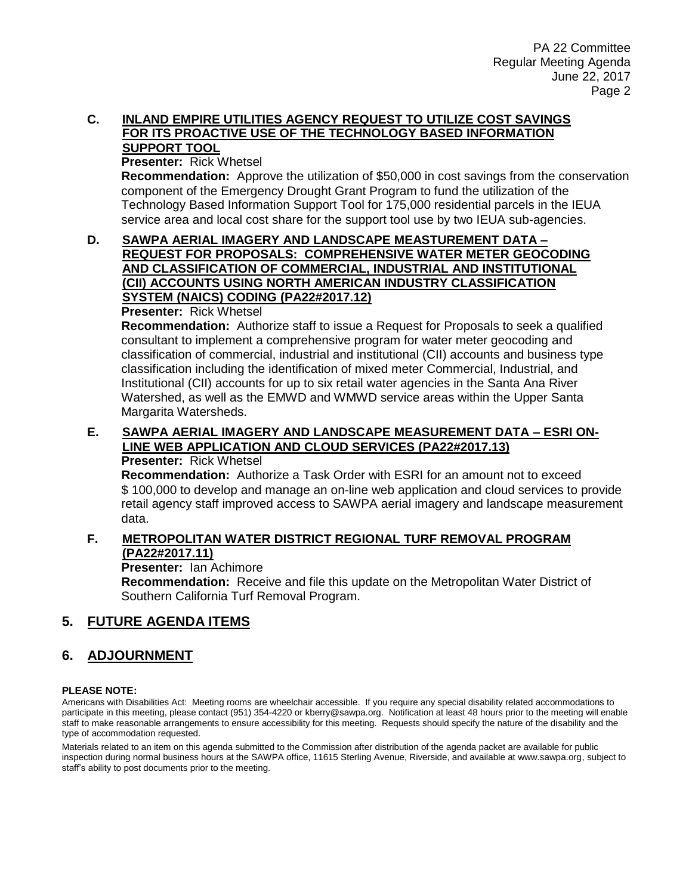### **C. INLAND EMPIRE UTILITIES AGENCY REQUEST TO UTILIZE COST SAVINGS FOR ITS PROACTIVE USE OF THE TECHNOLOGY BASED INFORMATION SUPPORT TOOL**

# **Presenter:** Rick Whetsel

**Recommendation:** Approve the utilization of \$50,000 in cost savings from the conservation component of the Emergency Drought Grant Program to fund the utilization of the Technology Based Information Support Tool for 175,000 residential parcels in the IEUA service area and local cost share for the support tool use by two IEUA sub-agencies.

### **D. SAWPA AERIAL IMAGERY AND LANDSCAPE MEASTUREMENT DATA – REQUEST FOR PROPOSALS: COMPREHENSIVE WATER METER GEOCODING AND CLASSIFICATION OF COMMERCIAL, INDUSTRIAL AND INSTITUTIONAL (CII) ACCOUNTS USING NORTH AMERICAN INDUSTRY CLASSIFICATION SYSTEM (NAICS) CODING (PA22#2017.12)**

**Presenter:** Rick Whetsel

**Recommendation:** Authorize staff to issue a Request for Proposals to seek a qualified consultant to implement a comprehensive program for water meter geocoding and classification of commercial, industrial and institutional (CII) accounts and business type classification including the identification of mixed meter Commercial, Industrial, and Institutional (CII) accounts for up to six retail water agencies in the Santa Ana River Watershed, as well as the EMWD and WMWD service areas within the Upper Santa Margarita Watersheds.

# **E. SAWPA AERIAL IMAGERY AND LANDSCAPE MEASUREMENT DATA – ESRI ON-LINE WEB APPLICATION AND CLOUD SERVICES (PA22#2017.13)**

### **Presenter:** Rick Whetsel

**Recommendation:** Authorize a Task Order with ESRI for an amount not to exceed \$ 100,000 to develop and manage an on-line web application and cloud services to provide retail agency staff improved access to SAWPA aerial imagery and landscape measurement data.

### **F. METROPOLITAN WATER DISTRICT REGIONAL TURF REMOVAL PROGRAM (PA22#2017.11)**

**Presenter:** Ian Achimore

**Recommendation:** Receive and file this update on the Metropolitan Water District of Southern California Turf Removal Program.

## **5. FUTURE AGENDA ITEMS**

## **6. ADJOURNMENT**

### **PLEASE NOTE:**

Americans with Disabilities Act: Meeting rooms are wheelchair accessible. If you require any special disability related accommodations to participate in this meeting, please contact (951) 354-4220 or kberry@sawpa.org. Notification at least 48 hours prior to the meeting will enable staff to make reasonable arrangements to ensure accessibility for this meeting. Requests should specify the nature of the disability and the type of accommodation requested.

Materials related to an item on this agenda submitted to the Commission after distribution of the agenda packet are available for public inspection during normal business hours at the SAWPA office, 11615 Sterling Avenue, Riverside, and available at www.sawpa.org, subject to staff's ability to post documents prior to the meeting.